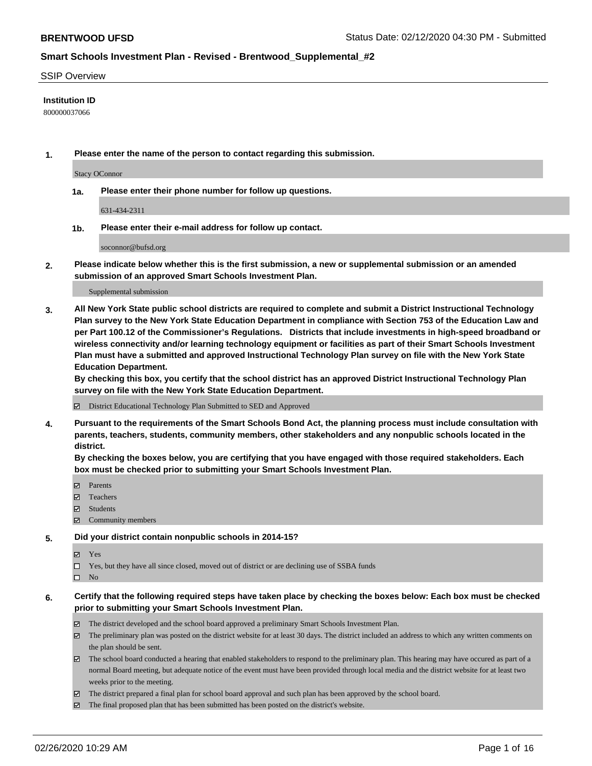#### SSIP Overview

#### **Institution ID**

800000037066

**1. Please enter the name of the person to contact regarding this submission.**

Stacy OConnor

**1a. Please enter their phone number for follow up questions.**

631-434-2311

**1b. Please enter their e-mail address for follow up contact.**

soconnor@bufsd.org

**2. Please indicate below whether this is the first submission, a new or supplemental submission or an amended submission of an approved Smart Schools Investment Plan.**

#### Supplemental submission

**3. All New York State public school districts are required to complete and submit a District Instructional Technology Plan survey to the New York State Education Department in compliance with Section 753 of the Education Law and per Part 100.12 of the Commissioner's Regulations. Districts that include investments in high-speed broadband or wireless connectivity and/or learning technology equipment or facilities as part of their Smart Schools Investment Plan must have a submitted and approved Instructional Technology Plan survey on file with the New York State Education Department.** 

**By checking this box, you certify that the school district has an approved District Instructional Technology Plan survey on file with the New York State Education Department.**

District Educational Technology Plan Submitted to SED and Approved

**4. Pursuant to the requirements of the Smart Schools Bond Act, the planning process must include consultation with parents, teachers, students, community members, other stakeholders and any nonpublic schools located in the district.** 

**By checking the boxes below, you are certifying that you have engaged with those required stakeholders. Each box must be checked prior to submitting your Smart Schools Investment Plan.**

- **マ** Parents
- Teachers
- Students
- Community members

#### **5. Did your district contain nonpublic schools in 2014-15?**

**冈** Yes

Yes, but they have all since closed, moved out of district or are declining use of SSBA funds

 $\square$  No

- **6. Certify that the following required steps have taken place by checking the boxes below: Each box must be checked prior to submitting your Smart Schools Investment Plan.**
	- The district developed and the school board approved a preliminary Smart Schools Investment Plan.
	- $\boxtimes$  The preliminary plan was posted on the district website for at least 30 days. The district included an address to which any written comments on the plan should be sent.
	- $\boxtimes$  The school board conducted a hearing that enabled stakeholders to respond to the preliminary plan. This hearing may have occured as part of a normal Board meeting, but adequate notice of the event must have been provided through local media and the district website for at least two weeks prior to the meeting.
	- The district prepared a final plan for school board approval and such plan has been approved by the school board.
	- $\boxtimes$  The final proposed plan that has been submitted has been posted on the district's website.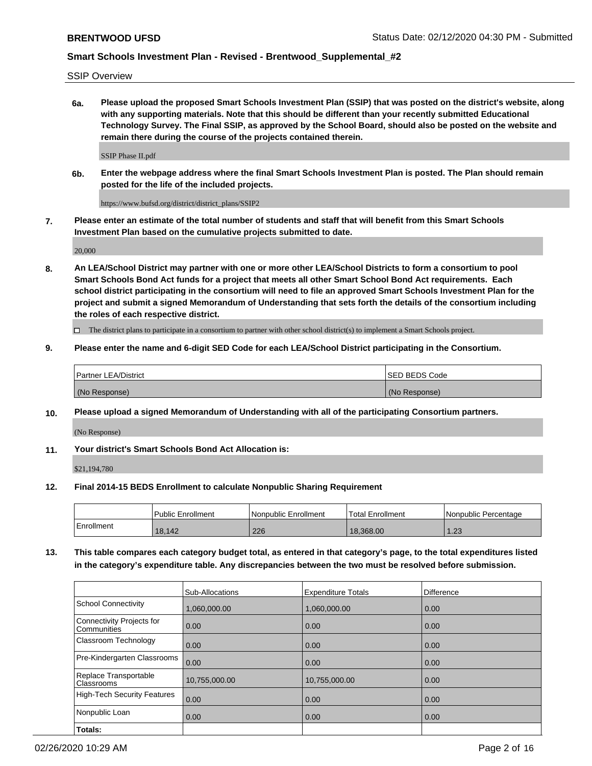SSIP Overview

**6a. Please upload the proposed Smart Schools Investment Plan (SSIP) that was posted on the district's website, along with any supporting materials. Note that this should be different than your recently submitted Educational Technology Survey. The Final SSIP, as approved by the School Board, should also be posted on the website and remain there during the course of the projects contained therein.**

SSIP Phase II.pdf

**6b. Enter the webpage address where the final Smart Schools Investment Plan is posted. The Plan should remain posted for the life of the included projects.**

https://www.bufsd.org/district/district\_plans/SSIP2

**7. Please enter an estimate of the total number of students and staff that will benefit from this Smart Schools Investment Plan based on the cumulative projects submitted to date.**

20,000

**8. An LEA/School District may partner with one or more other LEA/School Districts to form a consortium to pool Smart Schools Bond Act funds for a project that meets all other Smart School Bond Act requirements. Each school district participating in the consortium will need to file an approved Smart Schools Investment Plan for the project and submit a signed Memorandum of Understanding that sets forth the details of the consortium including the roles of each respective district.**

 $\Box$  The district plans to participate in a consortium to partner with other school district(s) to implement a Smart Schools project.

#### **9. Please enter the name and 6-digit SED Code for each LEA/School District participating in the Consortium.**

| Partner LEA/District | <b>ISED BEDS Code</b> |
|----------------------|-----------------------|
| (No Response)        | (No Response)         |

### **10. Please upload a signed Memorandum of Understanding with all of the participating Consortium partners.**

(No Response)

**11. Your district's Smart Schools Bond Act Allocation is:**

\$21,194,780

#### **12. Final 2014-15 BEDS Enrollment to calculate Nonpublic Sharing Requirement**

|            | Public Enrollment | Nonpublic Enrollment | Total Enrollment | I Nonpublic Percentage |
|------------|-------------------|----------------------|------------------|------------------------|
| Enrollment | 18,142            | 226                  | 18.368.00        | 1.23                   |

**13. This table compares each category budget total, as entered in that category's page, to the total expenditures listed in the category's expenditure table. Any discrepancies between the two must be resolved before submission.**

|                                          | Sub-Allocations | <b>Expenditure Totals</b> | <b>Difference</b> |
|------------------------------------------|-----------------|---------------------------|-------------------|
| <b>School Connectivity</b>               | 1,060,000.00    | 1,060,000.00              | 0.00              |
| Connectivity Projects for<br>Communities | 0.00            | 0.00                      | 0.00              |
| Classroom Technology                     | 0.00            | 0.00                      | 0.00              |
| Pre-Kindergarten Classrooms              | 0.00            | 0.00                      | 0.00              |
| Replace Transportable<br>Classrooms      | 10,755,000.00   | 10,755,000.00             | 0.00              |
| <b>High-Tech Security Features</b>       | 0.00            | 0.00                      | 0.00              |
| Nonpublic Loan                           | 0.00            | 0.00                      | 0.00              |
| Totals:                                  |                 |                           |                   |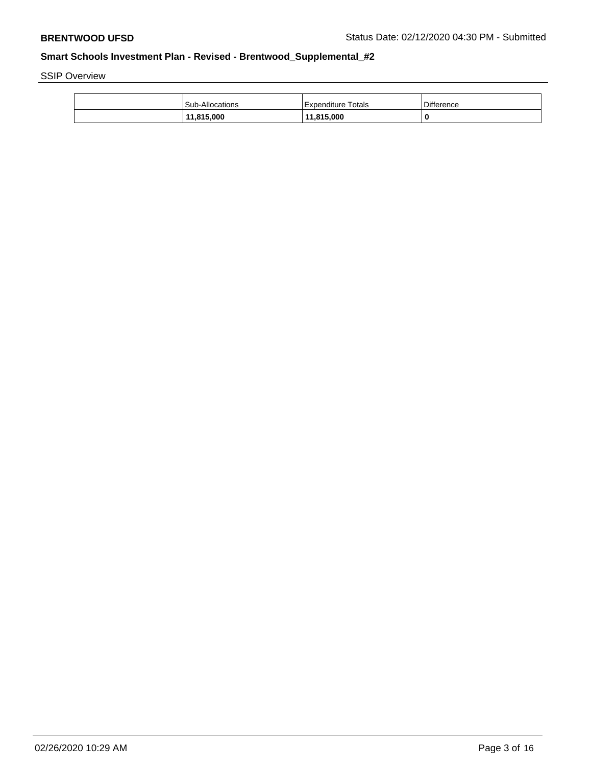SSIP Overview

| <b>Sub-Allocations</b> | Expenditure Totals | <b>Difference</b> |
|------------------------|--------------------|-------------------|
| 11,815,000             | 11,815,000         | 0                 |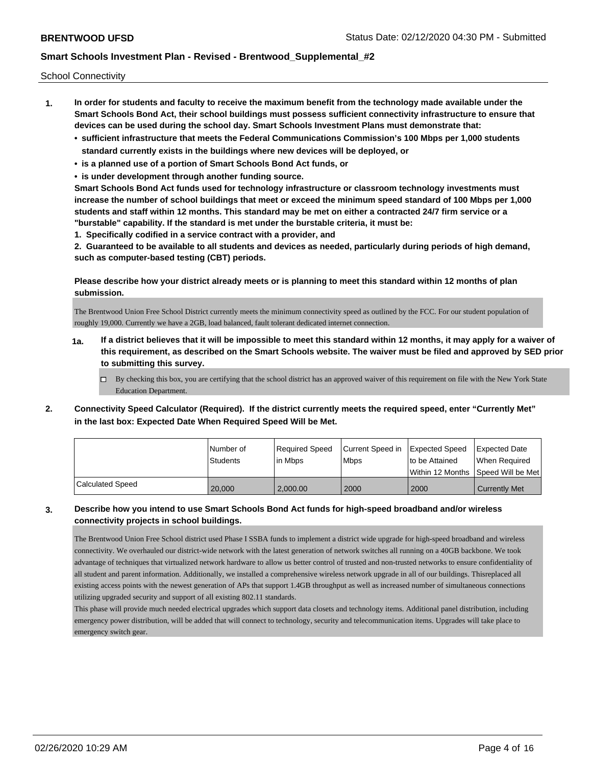School Connectivity

- **1. In order for students and faculty to receive the maximum benefit from the technology made available under the Smart Schools Bond Act, their school buildings must possess sufficient connectivity infrastructure to ensure that devices can be used during the school day. Smart Schools Investment Plans must demonstrate that:**
	- **• sufficient infrastructure that meets the Federal Communications Commission's 100 Mbps per 1,000 students standard currently exists in the buildings where new devices will be deployed, or**
	- **• is a planned use of a portion of Smart Schools Bond Act funds, or**
	- **• is under development through another funding source.**

**Smart Schools Bond Act funds used for technology infrastructure or classroom technology investments must increase the number of school buildings that meet or exceed the minimum speed standard of 100 Mbps per 1,000 students and staff within 12 months. This standard may be met on either a contracted 24/7 firm service or a "burstable" capability. If the standard is met under the burstable criteria, it must be:**

**1. Specifically codified in a service contract with a provider, and**

**2. Guaranteed to be available to all students and devices as needed, particularly during periods of high demand, such as computer-based testing (CBT) periods.**

**Please describe how your district already meets or is planning to meet this standard within 12 months of plan submission.**

The Brentwood Union Free School District currently meets the minimum connectivity speed as outlined by the FCC. For our student population of roughly 19,000. Currently we have a 2GB, load balanced, fault tolerant dedicated internet connection.

- **1a. If a district believes that it will be impossible to meet this standard within 12 months, it may apply for a waiver of this requirement, as described on the Smart Schools website. The waiver must be filed and approved by SED prior to submitting this survey.**
	- $\Box$  By checking this box, you are certifying that the school district has an approved waiver of this requirement on file with the New York State Education Department.
- **2. Connectivity Speed Calculator (Required). If the district currently meets the required speed, enter "Currently Met" in the last box: Expected Date When Required Speed Will be Met.**

|                  | l Number of<br><b>Students</b> | Required Speed<br>In Mbps | Current Speed in Expected Speed<br><b>Mbps</b> | Ito be Attained<br>Within 12 Months 1Speed Will be Met1 | <b>Expected Date</b><br>When Required |
|------------------|--------------------------------|---------------------------|------------------------------------------------|---------------------------------------------------------|---------------------------------------|
|                  |                                |                           |                                                |                                                         |                                       |
| Calculated Speed | 20,000                         | 2,000.00                  | 2000                                           | 2000                                                    | <b>Currently Met</b>                  |

## **3. Describe how you intend to use Smart Schools Bond Act funds for high-speed broadband and/or wireless connectivity projects in school buildings.**

The Brentwood Union Free School district used Phase I SSBA funds to implement a district wide upgrade for high-speed broadband and wireless connectivity. We overhauled our district-wide network with the latest generation of network switches all running on a 40GB backbone. We took advantage of techniques that virtualized network hardware to allow us better control of trusted and non-trusted networks to ensure confidentiality of all student and parent information. Additionally, we installed a comprehensive wireless network upgrade in all of our buildings. Thisreplaced all existing access points with the newest generation of APs that support 1.4GB throughput as well as increased number of simultaneous connections utilizing upgraded security and support of all existing 802.11 standards.

This phase will provide much needed electrical upgrades which support data closets and technology items. Additional panel distribution, including emergency power distribution, will be added that will connect to technology, security and telecommunication items. Upgrades will take place to emergency switch gear.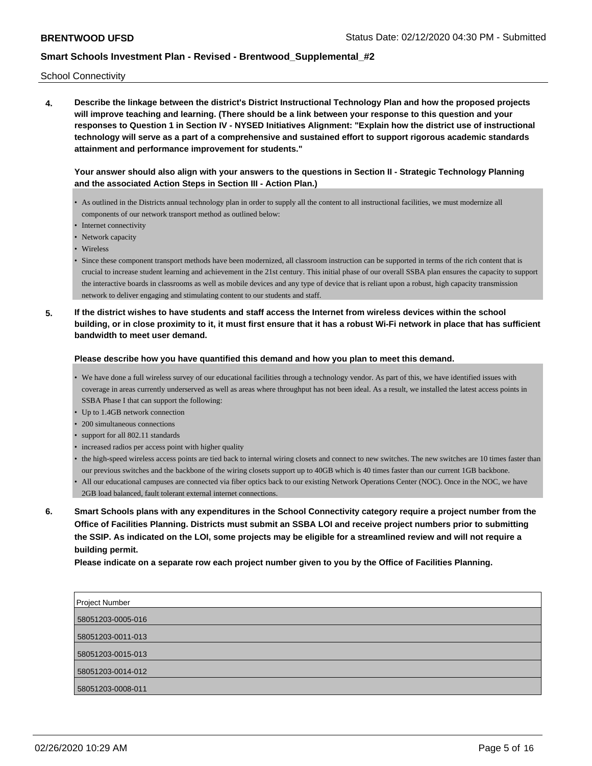School Connectivity

**4. Describe the linkage between the district's District Instructional Technology Plan and how the proposed projects will improve teaching and learning. (There should be a link between your response to this question and your responses to Question 1 in Section IV - NYSED Initiatives Alignment: "Explain how the district use of instructional technology will serve as a part of a comprehensive and sustained effort to support rigorous academic standards attainment and performance improvement for students."** 

**Your answer should also align with your answers to the questions in Section II - Strategic Technology Planning and the associated Action Steps in Section III - Action Plan.)**

- As outlined in the Districts annual technology plan in order to supply all the content to all instructional facilities, we must modernize all components of our network transport method as outlined below:
- Internet connectivity
- Network capacity
- Wireless
- Since these component transport methods have been modernized, all classroom instruction can be supported in terms of the rich content that is crucial to increase student learning and achievement in the 21st century. This initial phase of our overall SSBA plan ensures the capacity to support the interactive boards in classrooms as well as mobile devices and any type of device that is reliant upon a robust, high capacity transmission network to deliver engaging and stimulating content to our students and staff.
- **5. If the district wishes to have students and staff access the Internet from wireless devices within the school building, or in close proximity to it, it must first ensure that it has a robust Wi-Fi network in place that has sufficient bandwidth to meet user demand.**

#### **Please describe how you have quantified this demand and how you plan to meet this demand.**

- We have done a full wireless survey of our educational facilities through a technology vendor. As part of this, we have identified issues with coverage in areas currently underserved as well as areas where throughput has not been ideal. As a result, we installed the latest access points in SSBA Phase I that can support the following:
- Up to 1.4GB network connection
- 200 simultaneous connections
- support for all 802.11 standards
- increased radios per access point with higher quality
- the high-speed wireless access points are tied back to internal wiring closets and connect to new switches. The new switches are 10 times faster than our previous switches and the backbone of the wiring closets support up to 40GB which is 40 times faster than our current 1GB backbone.
- All our educational campuses are connected via fiber optics back to our existing Network Operations Center (NOC). Once in the NOC, we have 2GB load balanced, fault tolerant external internet connections.
- **6. Smart Schools plans with any expenditures in the School Connectivity category require a project number from the Office of Facilities Planning. Districts must submit an SSBA LOI and receive project numbers prior to submitting the SSIP. As indicated on the LOI, some projects may be eligible for a streamlined review and will not require a building permit.**

**Please indicate on a separate row each project number given to you by the Office of Facilities Planning.**

| Project Number    |  |
|-------------------|--|
| 58051203-0005-016 |  |
|                   |  |
| 58051203-0011-013 |  |
| 58051203-0015-013 |  |
| 58051203-0014-012 |  |
| 58051203-0008-011 |  |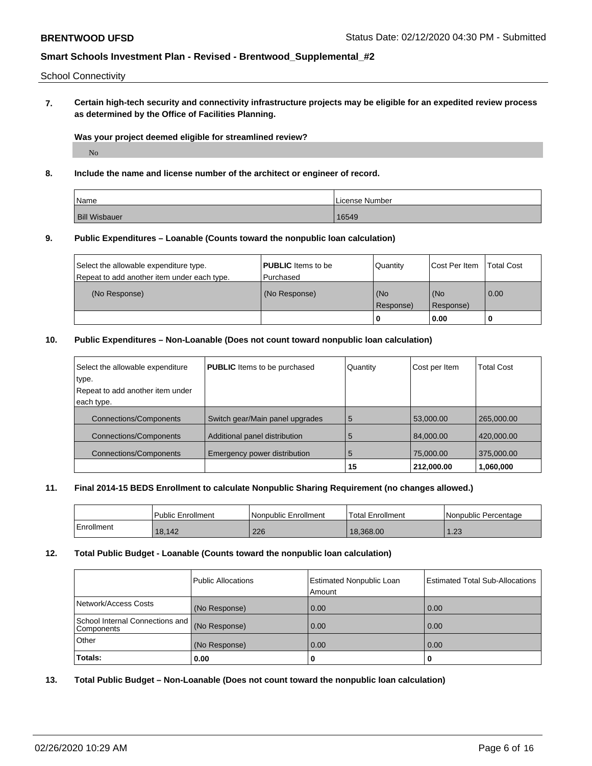### School Connectivity

**7. Certain high-tech security and connectivity infrastructure projects may be eligible for an expedited review process as determined by the Office of Facilities Planning.**

#### **Was your project deemed eligible for streamlined review?**

No

### **8. Include the name and license number of the architect or engineer of record.**

| Name                 | License Number |
|----------------------|----------------|
| <b>Bill Wisbauer</b> | 16549          |

## **9. Public Expenditures – Loanable (Counts toward the nonpublic loan calculation)**

| Select the allowable expenditure type.      | <b>PUBLIC</b> Items to be | Quantity         | Cost Per Item    | <b>Total Cost</b> |
|---------------------------------------------|---------------------------|------------------|------------------|-------------------|
| Repeat to add another item under each type. | l Purchased               |                  |                  |                   |
| (No Response)                               | (No Response)             | (No<br>Response) | (No<br>Response) | 0.00              |
|                                             |                           |                  | 0.00             |                   |

# **10. Public Expenditures – Non-Loanable (Does not count toward nonpublic loan calculation)**

| Select the allowable expenditure | <b>PUBLIC</b> Items to be purchased | Quantity | Cost per Item | <b>Total Cost</b> |
|----------------------------------|-------------------------------------|----------|---------------|-------------------|
| type.                            |                                     |          |               |                   |
| Repeat to add another item under |                                     |          |               |                   |
| each type.                       |                                     |          |               |                   |
| <b>Connections/Components</b>    | Switch gear/Main panel upgrades     | 5        | 53,000.00     | 265,000.00        |
| <b>Connections/Components</b>    | Additional panel distribution       | 5        | 84.000.00     | 420,000,00        |
| <b>Connections/Components</b>    | Emergency power distribution        | 5        | 75,000.00     | 375,000.00        |
|                                  |                                     | 15       | 212.000.00    | 1,060,000         |

### **11. Final 2014-15 BEDS Enrollment to calculate Nonpublic Sharing Requirement (no changes allowed.)**

|            | <b>Public Enrollment</b> | l Nonpublic Enrollment | 'Total Enrollment | Nonpublic Percentage |
|------------|--------------------------|------------------------|-------------------|----------------------|
| Enrollment | 18,142                   | 226                    | 18.368.00         | ່າາ<br>د ے. ا        |

### **12. Total Public Budget - Loanable (Counts toward the nonpublic loan calculation)**

|                                               | Public Allocations | Estimated Nonpublic Loan<br>Amount | <b>Estimated Total Sub-Allocations</b> |
|-----------------------------------------------|--------------------|------------------------------------|----------------------------------------|
| Network/Access Costs                          | (No Response)      | 0.00                               | 0.00                                   |
| School Internal Connections and<br>Components | (No Response)      | 0.00                               | 0.00                                   |
| Other                                         | (No Response)      | 0.00                               | 0.00                                   |
| Totals:                                       | 0.00               | 0                                  |                                        |

## **13. Total Public Budget – Non-Loanable (Does not count toward the nonpublic loan calculation)**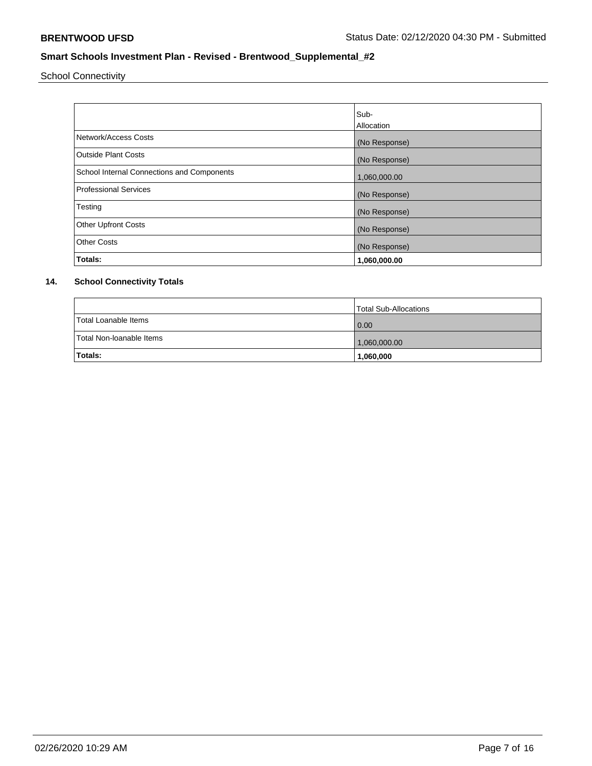School Connectivity

|                                            | Sub-<br>Allocation |
|--------------------------------------------|--------------------|
| Network/Access Costs                       | (No Response)      |
| <b>Outside Plant Costs</b>                 | (No Response)      |
| School Internal Connections and Components | 1,060,000.00       |
| <b>Professional Services</b>               | (No Response)      |
| Testing                                    | (No Response)      |
| <b>Other Upfront Costs</b>                 | (No Response)      |
| <b>Other Costs</b>                         | (No Response)      |
| Totals:                                    | 1,060,000.00       |

# **14. School Connectivity Totals**

|                          | Total Sub-Allocations |
|--------------------------|-----------------------|
| Total Loanable Items     | 0.00                  |
| Total Non-Ioanable Items | 1,060,000.00          |
| Totals:                  | 1,060,000             |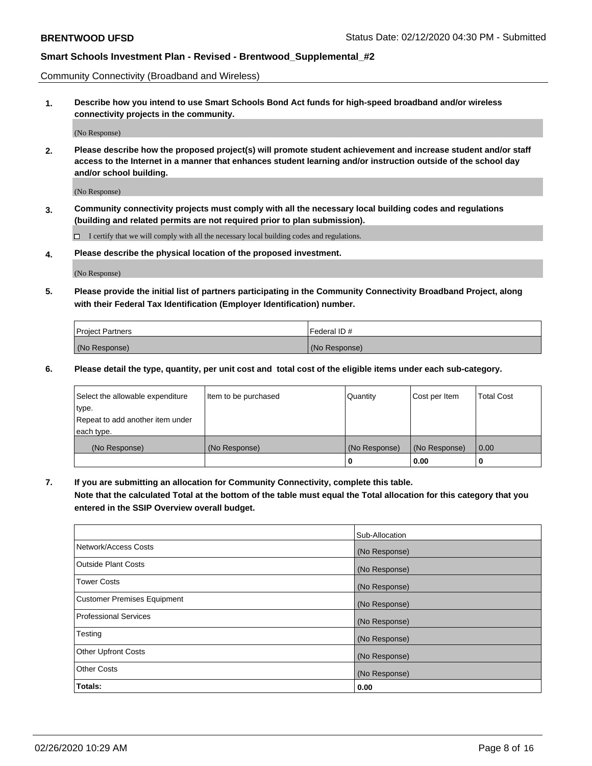Community Connectivity (Broadband and Wireless)

**1. Describe how you intend to use Smart Schools Bond Act funds for high-speed broadband and/or wireless connectivity projects in the community.**

(No Response)

**2. Please describe how the proposed project(s) will promote student achievement and increase student and/or staff access to the Internet in a manner that enhances student learning and/or instruction outside of the school day and/or school building.**

(No Response)

**3. Community connectivity projects must comply with all the necessary local building codes and regulations (building and related permits are not required prior to plan submission).**

 $\Box$  I certify that we will comply with all the necessary local building codes and regulations.

**4. Please describe the physical location of the proposed investment.**

(No Response)

**5. Please provide the initial list of partners participating in the Community Connectivity Broadband Project, along with their Federal Tax Identification (Employer Identification) number.**

| <b>Project Partners</b> | l Federal ID # |
|-------------------------|----------------|
| (No Response)           | (No Response)  |

**6. Please detail the type, quantity, per unit cost and total cost of the eligible items under each sub-category.**

| Select the allowable expenditure | Item to be purchased | Quantity      | Cost per Item | <b>Total Cost</b> |
|----------------------------------|----------------------|---------------|---------------|-------------------|
| type.                            |                      |               |               |                   |
| Repeat to add another item under |                      |               |               |                   |
| each type.                       |                      |               |               |                   |
| (No Response)                    | (No Response)        | (No Response) | (No Response) | 0.00              |
|                                  |                      | o             | 0.00          |                   |

**7. If you are submitting an allocation for Community Connectivity, complete this table.**

**Note that the calculated Total at the bottom of the table must equal the Total allocation for this category that you entered in the SSIP Overview overall budget.**

|                                    | Sub-Allocation |
|------------------------------------|----------------|
| Network/Access Costs               | (No Response)  |
| Outside Plant Costs                | (No Response)  |
| <b>Tower Costs</b>                 | (No Response)  |
| <b>Customer Premises Equipment</b> | (No Response)  |
| <b>Professional Services</b>       | (No Response)  |
| Testing                            | (No Response)  |
| <b>Other Upfront Costs</b>         | (No Response)  |
| <b>Other Costs</b>                 | (No Response)  |
| Totals:                            | 0.00           |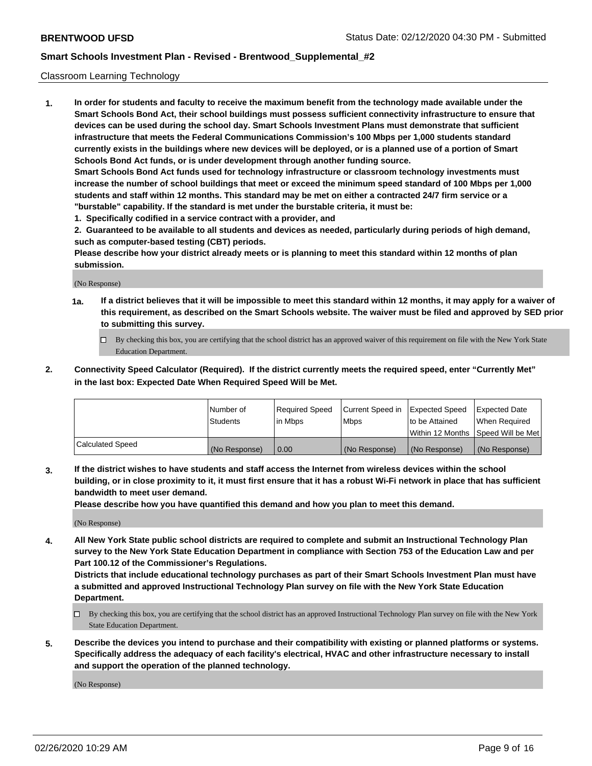### Classroom Learning Technology

**1. In order for students and faculty to receive the maximum benefit from the technology made available under the Smart Schools Bond Act, their school buildings must possess sufficient connectivity infrastructure to ensure that devices can be used during the school day. Smart Schools Investment Plans must demonstrate that sufficient infrastructure that meets the Federal Communications Commission's 100 Mbps per 1,000 students standard currently exists in the buildings where new devices will be deployed, or is a planned use of a portion of Smart Schools Bond Act funds, or is under development through another funding source. Smart Schools Bond Act funds used for technology infrastructure or classroom technology investments must increase the number of school buildings that meet or exceed the minimum speed standard of 100 Mbps per 1,000 students and staff within 12 months. This standard may be met on either a contracted 24/7 firm service or a "burstable" capability. If the standard is met under the burstable criteria, it must be:**

**1. Specifically codified in a service contract with a provider, and**

**2. Guaranteed to be available to all students and devices as needed, particularly during periods of high demand, such as computer-based testing (CBT) periods.**

**Please describe how your district already meets or is planning to meet this standard within 12 months of plan submission.**

(No Response)

- **1a. If a district believes that it will be impossible to meet this standard within 12 months, it may apply for a waiver of this requirement, as described on the Smart Schools website. The waiver must be filed and approved by SED prior to submitting this survey.**
	- By checking this box, you are certifying that the school district has an approved waiver of this requirement on file with the New York State Education Department.
- **2. Connectivity Speed Calculator (Required). If the district currently meets the required speed, enter "Currently Met" in the last box: Expected Date When Required Speed Will be Met.**

|                  | l Number of     | Required Speed | Current Speed in | <b>Expected Speed</b> | <b>Expected Date</b>                |
|------------------|-----------------|----------------|------------------|-----------------------|-------------------------------------|
|                  | <b>Students</b> | l in Mbps      | l Mbps           | to be Attained        | When Required                       |
|                  |                 |                |                  |                       | Within 12 Months  Speed Will be Met |
| Calculated Speed | (No Response)   | 0.00           | (No Response)    | l (No Response)       | (No Response)                       |

**3. If the district wishes to have students and staff access the Internet from wireless devices within the school building, or in close proximity to it, it must first ensure that it has a robust Wi-Fi network in place that has sufficient bandwidth to meet user demand.**

**Please describe how you have quantified this demand and how you plan to meet this demand.**

(No Response)

**4. All New York State public school districts are required to complete and submit an Instructional Technology Plan survey to the New York State Education Department in compliance with Section 753 of the Education Law and per Part 100.12 of the Commissioner's Regulations.**

**Districts that include educational technology purchases as part of their Smart Schools Investment Plan must have a submitted and approved Instructional Technology Plan survey on file with the New York State Education Department.**

- By checking this box, you are certifying that the school district has an approved Instructional Technology Plan survey on file with the New York State Education Department.
- **5. Describe the devices you intend to purchase and their compatibility with existing or planned platforms or systems. Specifically address the adequacy of each facility's electrical, HVAC and other infrastructure necessary to install and support the operation of the planned technology.**

(No Response)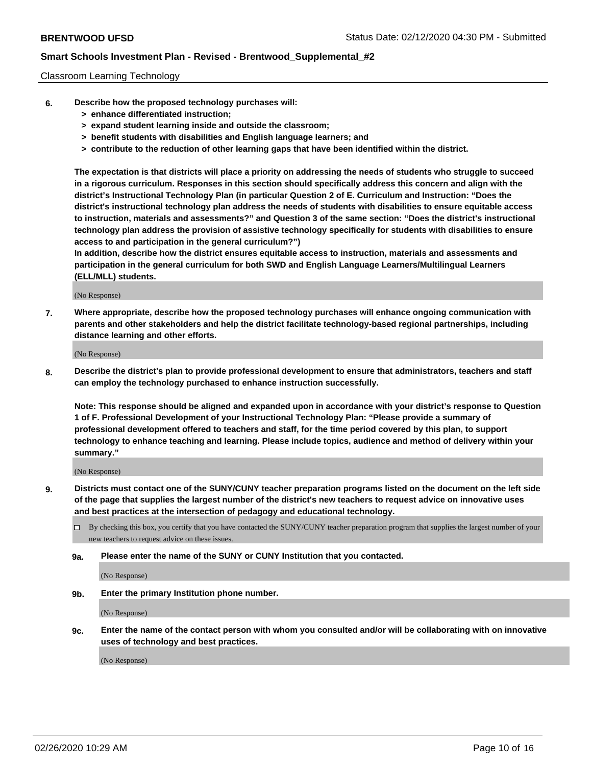### Classroom Learning Technology

- **6. Describe how the proposed technology purchases will:**
	- **> enhance differentiated instruction;**
	- **> expand student learning inside and outside the classroom;**
	- **> benefit students with disabilities and English language learners; and**
	- **> contribute to the reduction of other learning gaps that have been identified within the district.**

**The expectation is that districts will place a priority on addressing the needs of students who struggle to succeed in a rigorous curriculum. Responses in this section should specifically address this concern and align with the district's Instructional Technology Plan (in particular Question 2 of E. Curriculum and Instruction: "Does the district's instructional technology plan address the needs of students with disabilities to ensure equitable access to instruction, materials and assessments?" and Question 3 of the same section: "Does the district's instructional technology plan address the provision of assistive technology specifically for students with disabilities to ensure access to and participation in the general curriculum?")**

**In addition, describe how the district ensures equitable access to instruction, materials and assessments and participation in the general curriculum for both SWD and English Language Learners/Multilingual Learners (ELL/MLL) students.**

(No Response)

**7. Where appropriate, describe how the proposed technology purchases will enhance ongoing communication with parents and other stakeholders and help the district facilitate technology-based regional partnerships, including distance learning and other efforts.**

(No Response)

**8. Describe the district's plan to provide professional development to ensure that administrators, teachers and staff can employ the technology purchased to enhance instruction successfully.**

**Note: This response should be aligned and expanded upon in accordance with your district's response to Question 1 of F. Professional Development of your Instructional Technology Plan: "Please provide a summary of professional development offered to teachers and staff, for the time period covered by this plan, to support technology to enhance teaching and learning. Please include topics, audience and method of delivery within your summary."**

(No Response)

- **9. Districts must contact one of the SUNY/CUNY teacher preparation programs listed on the document on the left side of the page that supplies the largest number of the district's new teachers to request advice on innovative uses and best practices at the intersection of pedagogy and educational technology.**
	- By checking this box, you certify that you have contacted the SUNY/CUNY teacher preparation program that supplies the largest number of your new teachers to request advice on these issues.
	- **9a. Please enter the name of the SUNY or CUNY Institution that you contacted.**

(No Response)

**9b. Enter the primary Institution phone number.**

(No Response)

**9c. Enter the name of the contact person with whom you consulted and/or will be collaborating with on innovative uses of technology and best practices.**

(No Response)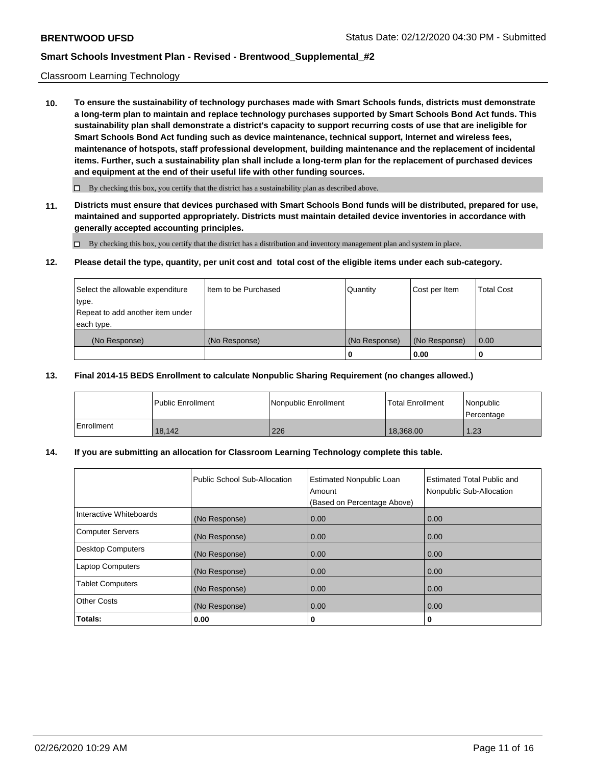#### Classroom Learning Technology

**10. To ensure the sustainability of technology purchases made with Smart Schools funds, districts must demonstrate a long-term plan to maintain and replace technology purchases supported by Smart Schools Bond Act funds. This sustainability plan shall demonstrate a district's capacity to support recurring costs of use that are ineligible for Smart Schools Bond Act funding such as device maintenance, technical support, Internet and wireless fees, maintenance of hotspots, staff professional development, building maintenance and the replacement of incidental items. Further, such a sustainability plan shall include a long-term plan for the replacement of purchased devices and equipment at the end of their useful life with other funding sources.**

 $\Box$  By checking this box, you certify that the district has a sustainability plan as described above.

**11. Districts must ensure that devices purchased with Smart Schools Bond funds will be distributed, prepared for use, maintained and supported appropriately. Districts must maintain detailed device inventories in accordance with generally accepted accounting principles.**

By checking this box, you certify that the district has a distribution and inventory management plan and system in place.

#### **12. Please detail the type, quantity, per unit cost and total cost of the eligible items under each sub-category.**

| Select the allowable expenditure<br>type.      | Item to be Purchased | Quantity      | Cost per Item | <b>Total Cost</b> |
|------------------------------------------------|----------------------|---------------|---------------|-------------------|
| Repeat to add another item under<br>each type. |                      |               |               |                   |
| (No Response)                                  | (No Response)        | (No Response) | (No Response) | 0.00              |
|                                                |                      |               | 0.00          |                   |

#### **13. Final 2014-15 BEDS Enrollment to calculate Nonpublic Sharing Requirement (no changes allowed.)**

|              | l Public Enrollment | Nonpublic Enrollment | <b>Total Enrollment</b> | Nonpublic<br>l Percentage |
|--------------|---------------------|----------------------|-------------------------|---------------------------|
| l Enrollment | 18,142              | 226                  | 18.368.00               | 1.23                      |

### **14. If you are submitting an allocation for Classroom Learning Technology complete this table.**

|                         | Public School Sub-Allocation | <b>Estimated Nonpublic Loan</b><br>Amount<br>(Based on Percentage Above) | Estimated Total Public and<br>Nonpublic Sub-Allocation |
|-------------------------|------------------------------|--------------------------------------------------------------------------|--------------------------------------------------------|
| Interactive Whiteboards | (No Response)                | 0.00                                                                     | 0.00                                                   |
| Computer Servers        | (No Response)                | 0.00                                                                     | 0.00                                                   |
| Desktop Computers       | (No Response)                | 0.00                                                                     | 0.00                                                   |
| <b>Laptop Computers</b> | (No Response)                | 0.00                                                                     | 0.00                                                   |
| <b>Tablet Computers</b> | (No Response)                | 0.00                                                                     | 0.00                                                   |
| Other Costs             | (No Response)                | 0.00                                                                     | 0.00                                                   |
| Totals:                 | 0.00                         | 0                                                                        | 0                                                      |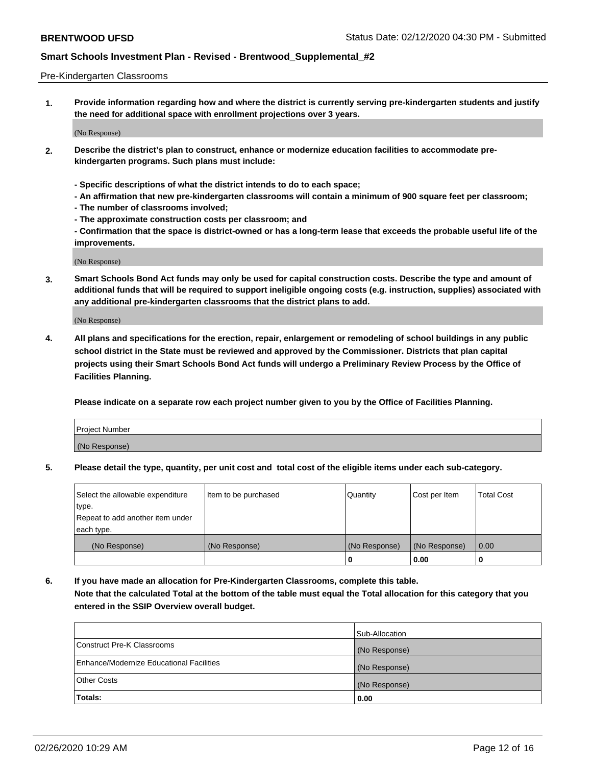#### Pre-Kindergarten Classrooms

**1. Provide information regarding how and where the district is currently serving pre-kindergarten students and justify the need for additional space with enrollment projections over 3 years.**

(No Response)

- **2. Describe the district's plan to construct, enhance or modernize education facilities to accommodate prekindergarten programs. Such plans must include:**
	- **Specific descriptions of what the district intends to do to each space;**
	- **An affirmation that new pre-kindergarten classrooms will contain a minimum of 900 square feet per classroom;**
	- **The number of classrooms involved;**
	- **The approximate construction costs per classroom; and**
	- **Confirmation that the space is district-owned or has a long-term lease that exceeds the probable useful life of the improvements.**

(No Response)

**3. Smart Schools Bond Act funds may only be used for capital construction costs. Describe the type and amount of additional funds that will be required to support ineligible ongoing costs (e.g. instruction, supplies) associated with any additional pre-kindergarten classrooms that the district plans to add.**

(No Response)

**4. All plans and specifications for the erection, repair, enlargement or remodeling of school buildings in any public school district in the State must be reviewed and approved by the Commissioner. Districts that plan capital projects using their Smart Schools Bond Act funds will undergo a Preliminary Review Process by the Office of Facilities Planning.**

**Please indicate on a separate row each project number given to you by the Office of Facilities Planning.**

| Project Number |  |
|----------------|--|
| (No Response)  |  |
|                |  |

**5. Please detail the type, quantity, per unit cost and total cost of the eligible items under each sub-category.**

| Select the allowable expenditure | Item to be purchased | Quantity      | Cost per Item | <b>Total Cost</b> |
|----------------------------------|----------------------|---------------|---------------|-------------------|
| type.                            |                      |               |               |                   |
| Repeat to add another item under |                      |               |               |                   |
| each type.                       |                      |               |               |                   |
| (No Response)                    | (No Response)        | (No Response) | (No Response) | 0.00              |
|                                  |                      | U             | 0.00          |                   |

**6. If you have made an allocation for Pre-Kindergarten Classrooms, complete this table. Note that the calculated Total at the bottom of the table must equal the Total allocation for this category that you entered in the SSIP Overview overall budget.**

|                                          | Sub-Allocation |
|------------------------------------------|----------------|
| Construct Pre-K Classrooms               | (No Response)  |
| Enhance/Modernize Educational Facilities | (No Response)  |
| <b>Other Costs</b>                       | (No Response)  |
| Totals:                                  | 0.00           |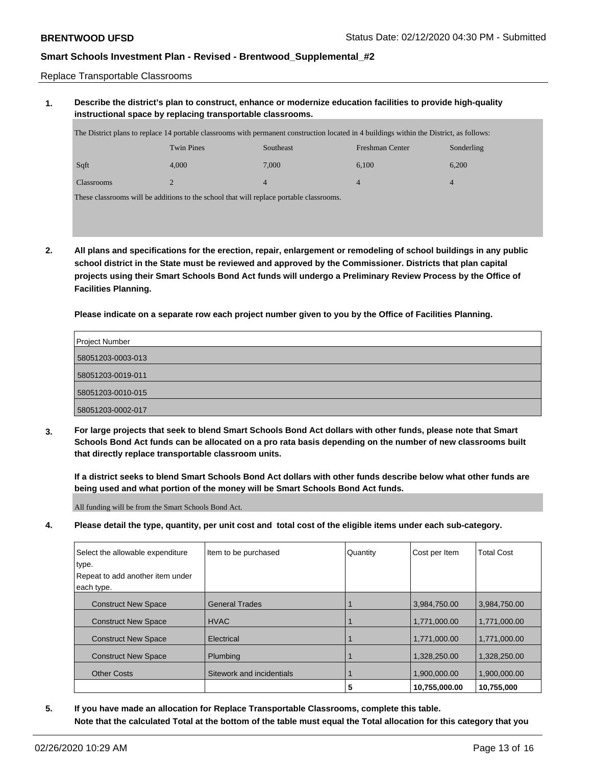Replace Transportable Classrooms

## **1. Describe the district's plan to construct, enhance or modernize education facilities to provide high-quality instructional space by replacing transportable classrooms.**

| The District plans to replace 14 portable classrooms with permanent construction located in 4 buildings within the District, as follows: |       |       |       |       |  |
|------------------------------------------------------------------------------------------------------------------------------------------|-------|-------|-------|-------|--|
| <b>Twin Pines</b><br><b>Southeast</b><br>Freshman Center<br>Sonderling                                                                   |       |       |       |       |  |
| Sqft                                                                                                                                     | 4.000 | 7.000 | 6.100 | 6.200 |  |
| <b>Classrooms</b>                                                                                                                        |       | 4     |       | 4     |  |
| These classrooms will be additions to the school that will replace portable classrooms.                                                  |       |       |       |       |  |

**2. All plans and specifications for the erection, repair, enlargement or remodeling of school buildings in any public school district in the State must be reviewed and approved by the Commissioner. Districts that plan capital projects using their Smart Schools Bond Act funds will undergo a Preliminary Review Process by the Office of Facilities Planning.**

**Please indicate on a separate row each project number given to you by the Office of Facilities Planning.**

| Project Number    |
|-------------------|
| 58051203-0003-013 |
| 58051203-0019-011 |
| 58051203-0010-015 |
| 58051203-0002-017 |

**3. For large projects that seek to blend Smart Schools Bond Act dollars with other funds, please note that Smart Schools Bond Act funds can be allocated on a pro rata basis depending on the number of new classrooms built that directly replace transportable classroom units.**

**If a district seeks to blend Smart Schools Bond Act dollars with other funds describe below what other funds are being used and what portion of the money will be Smart Schools Bond Act funds.**

All funding will be from the Smart Schools Bond Act.

**4. Please detail the type, quantity, per unit cost and total cost of the eligible items under each sub-category.**

| Select the allowable expenditure | Item to be purchased      | Quantity | Cost per Item | <b>Total Cost</b> |
|----------------------------------|---------------------------|----------|---------------|-------------------|
| type.                            |                           |          |               |                   |
| Repeat to add another item under |                           |          |               |                   |
| each type.                       |                           |          |               |                   |
| <b>Construct New Space</b>       | <b>General Trades</b>     |          | 3,984,750.00  | 3,984,750.00      |
| <b>Construct New Space</b>       | <b>HVAC</b>               |          | 1,771,000.00  | 1,771,000.00      |
| <b>Construct New Space</b>       | Electrical                |          | 1,771,000.00  | 1,771,000.00      |
| <b>Construct New Space</b>       | Plumbing                  |          | 1,328,250.00  | 1,328,250.00      |
| <b>Other Costs</b>               | Sitework and incidentials |          | 1,900,000.00  | 1,900,000.00      |
|                                  |                           | 5        | 10,755,000.00 | 10,755,000        |

**5. If you have made an allocation for Replace Transportable Classrooms, complete this table. Note that the calculated Total at the bottom of the table must equal the Total allocation for this category that you**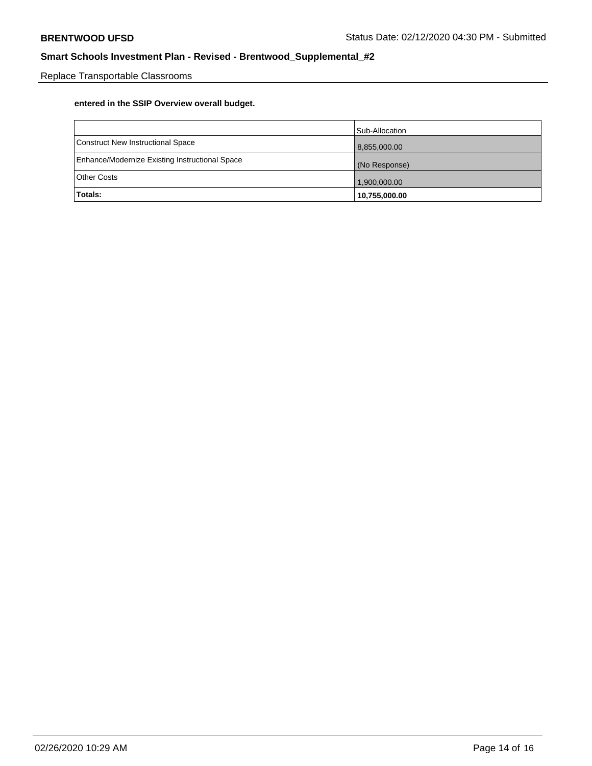Replace Transportable Classrooms

# **entered in the SSIP Overview overall budget.**

|                                                | Sub-Allocation |
|------------------------------------------------|----------------|
| Construct New Instructional Space              | 8,855,000.00   |
| Enhance/Modernize Existing Instructional Space | (No Response)  |
| <b>Other Costs</b>                             | 1,900,000.00   |
| <b>Totals:</b>                                 | 10,755,000.00  |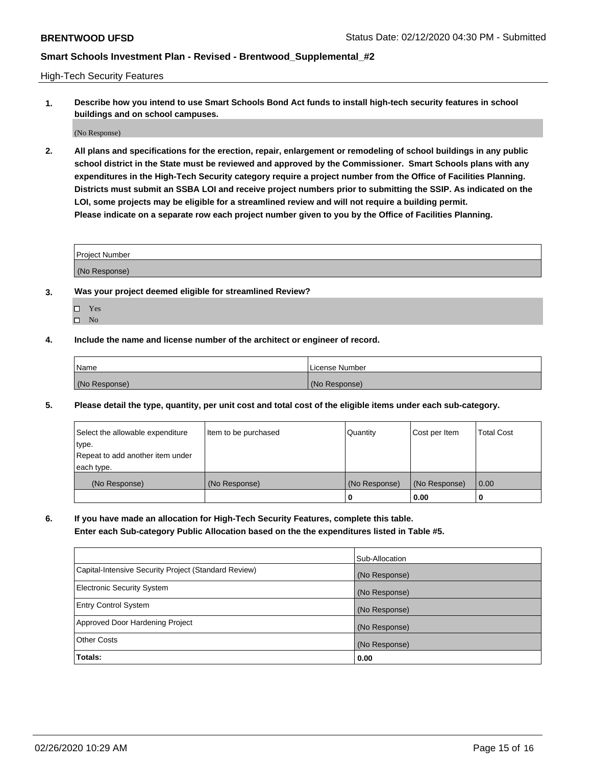High-Tech Security Features

**1. Describe how you intend to use Smart Schools Bond Act funds to install high-tech security features in school buildings and on school campuses.**

(No Response)

**2. All plans and specifications for the erection, repair, enlargement or remodeling of school buildings in any public school district in the State must be reviewed and approved by the Commissioner. Smart Schools plans with any expenditures in the High-Tech Security category require a project number from the Office of Facilities Planning. Districts must submit an SSBA LOI and receive project numbers prior to submitting the SSIP. As indicated on the LOI, some projects may be eligible for a streamlined review and will not require a building permit. Please indicate on a separate row each project number given to you by the Office of Facilities Planning.**

| <b>Project Number</b> |  |
|-----------------------|--|
| (No Response)         |  |

- **3. Was your project deemed eligible for streamlined Review?**
	- Yes
	- $\hfill \square$  No
- **4. Include the name and license number of the architect or engineer of record.**

| <b>Name</b>   | License Number |
|---------------|----------------|
| (No Response) | (No Response)  |

**5. Please detail the type, quantity, per unit cost and total cost of the eligible items under each sub-category.**

| Select the allowable expenditure | Item to be purchased | Quantity      | Cost per Item | <b>Total Cost</b> |
|----------------------------------|----------------------|---------------|---------------|-------------------|
| type.                            |                      |               |               |                   |
| Repeat to add another item under |                      |               |               |                   |
| each type.                       |                      |               |               |                   |
| (No Response)                    | (No Response)        | (No Response) | (No Response) | 0.00              |
|                                  |                      | 0             | 0.00          |                   |

**6. If you have made an allocation for High-Tech Security Features, complete this table.**

**Enter each Sub-category Public Allocation based on the the expenditures listed in Table #5.**

|                                                      | Sub-Allocation |
|------------------------------------------------------|----------------|
| Capital-Intensive Security Project (Standard Review) | (No Response)  |
| <b>Electronic Security System</b>                    | (No Response)  |
| <b>Entry Control System</b>                          | (No Response)  |
| Approved Door Hardening Project                      | (No Response)  |
| <b>Other Costs</b>                                   | (No Response)  |
| Totals:                                              | 0.00           |